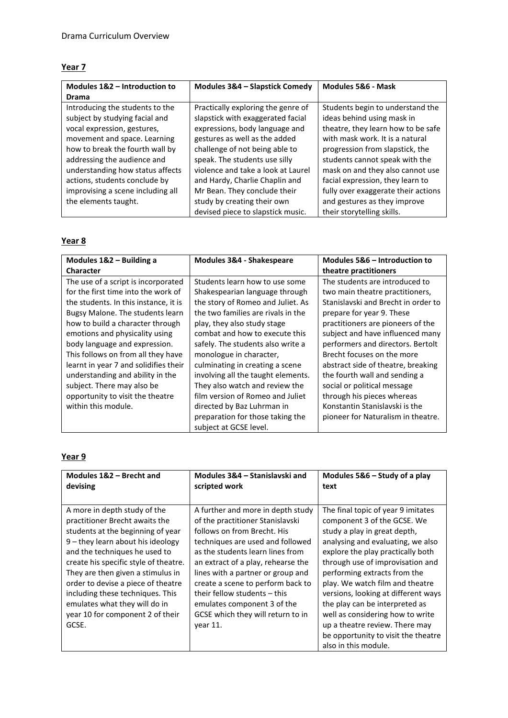## **Year 7**

| Modules 1&2 - Introduction to     | Modules 3&4 - Slapstick Comedy     | Modules 5&6 - Mask                  |
|-----------------------------------|------------------------------------|-------------------------------------|
| <b>Drama</b>                      |                                    |                                     |
| Introducing the students to the   | Practically exploring the genre of | Students begin to understand the    |
| subject by studying facial and    | slapstick with exaggerated facial  | ideas behind using mask in          |
| vocal expression, gestures,       | expressions, body language and     | theatre, they learn how to be safe  |
| movement and space. Learning      | gestures as well as the added      | with mask work. It is a natural     |
| how to break the fourth wall by   | challenge of not being able to     | progression from slapstick, the     |
| addressing the audience and       | speak. The students use silly      | students cannot speak with the      |
| understanding how status affects  | violence and take a look at Laurel | mask on and they also cannot use    |
| actions, students conclude by     | and Hardy, Charlie Chaplin and     | facial expression, they learn to    |
| improvising a scene including all | Mr Bean. They conclude their       | fully over exaggerate their actions |
| the elements taught.              | study by creating their own        | and gestures as they improve        |
|                                   | devised piece to slapstick music.  | their storytelling skills.          |

## **Year 8**

| Modules 1&2 - Building a              | Modules 3&4 - Shakespeare          | Modules 5&6 – Introduction to       |
|---------------------------------------|------------------------------------|-------------------------------------|
| <b>Character</b>                      |                                    | theatre practitioners               |
| The use of a script is incorporated   | Students learn how to use some     | The students are introduced to      |
| for the first time into the work of   | Shakespearian language through     | two main theatre practitioners,     |
| the students. In this instance, it is | the story of Romeo and Juliet. As  | Stanislavski and Brecht in order to |
| Bugsy Malone. The students learn      | the two families are rivals in the | prepare for year 9. These           |
| how to build a character through      | play, they also study stage        | practitioners are pioneers of the   |
| emotions and physicality using        | combat and how to execute this     | subject and have influenced many    |
| body language and expression.         | safely. The students also write a  | performers and directors. Bertolt   |
| This follows on from all they have    | monologue in character,            | Brecht focuses on the more          |
| learnt in year 7 and solidifies their | culminating in creating a scene    | abstract side of theatre, breaking  |
| understanding and ability in the      | involving all the taught elements. | the fourth wall and sending a       |
| subject. There may also be            | They also watch and review the     | social or political message         |
| opportunity to visit the theatre      | film version of Romeo and Juliet   | through his pieces whereas          |
| within this module.                   | directed by Baz Luhrman in         | Konstantin Stanislavski is the      |
|                                       | preparation for those taking the   | pioneer for Naturalism in theatre.  |
|                                       | subject at GCSE level.             |                                     |

## **Year 9**

| Modules 1&2 - Brecht and                                                                                                                                                                                                                                                                                                                                                                                          | Modules 3&4 – Stanislavski and                                                                                                                                                                                                                                                                                                                                                                               | Modules 5&6 - Study of a play                                                                                                                                                                                                                                                                                                                                                                                                                                                                    |
|-------------------------------------------------------------------------------------------------------------------------------------------------------------------------------------------------------------------------------------------------------------------------------------------------------------------------------------------------------------------------------------------------------------------|--------------------------------------------------------------------------------------------------------------------------------------------------------------------------------------------------------------------------------------------------------------------------------------------------------------------------------------------------------------------------------------------------------------|--------------------------------------------------------------------------------------------------------------------------------------------------------------------------------------------------------------------------------------------------------------------------------------------------------------------------------------------------------------------------------------------------------------------------------------------------------------------------------------------------|
| devising                                                                                                                                                                                                                                                                                                                                                                                                          | scripted work                                                                                                                                                                                                                                                                                                                                                                                                | text                                                                                                                                                                                                                                                                                                                                                                                                                                                                                             |
| A more in depth study of the<br>practitioner Brecht awaits the<br>students at the beginning of year<br>$9$ – they learn about his ideology<br>and the techniques he used to<br>create his specific style of theatre.<br>They are then given a stimulus in<br>order to devise a piece of theatre<br>including these techniques. This<br>emulates what they will do in<br>year 10 for component 2 of their<br>GCSE. | A further and more in depth study<br>of the practitioner Stanislavski<br>follows on from Brecht. His<br>techniques are used and followed<br>as the students learn lines from<br>an extract of a play, rehearse the<br>lines with a partner or group and<br>create a scene to perform back to<br>their fellow students - this<br>emulates component 3 of the<br>GCSE which they will return to in<br>vear 11. | The final topic of year 9 imitates<br>component 3 of the GCSE. We<br>study a play in great depth,<br>analysing and evaluating, we also<br>explore the play practically both<br>through use of improvisation and<br>performing extracts from the<br>play. We watch film and theatre<br>versions, looking at different ways<br>the play can be interpreted as<br>well as considering how to write<br>up a theatre review. There may<br>be opportunity to visit the theatre<br>also in this module. |